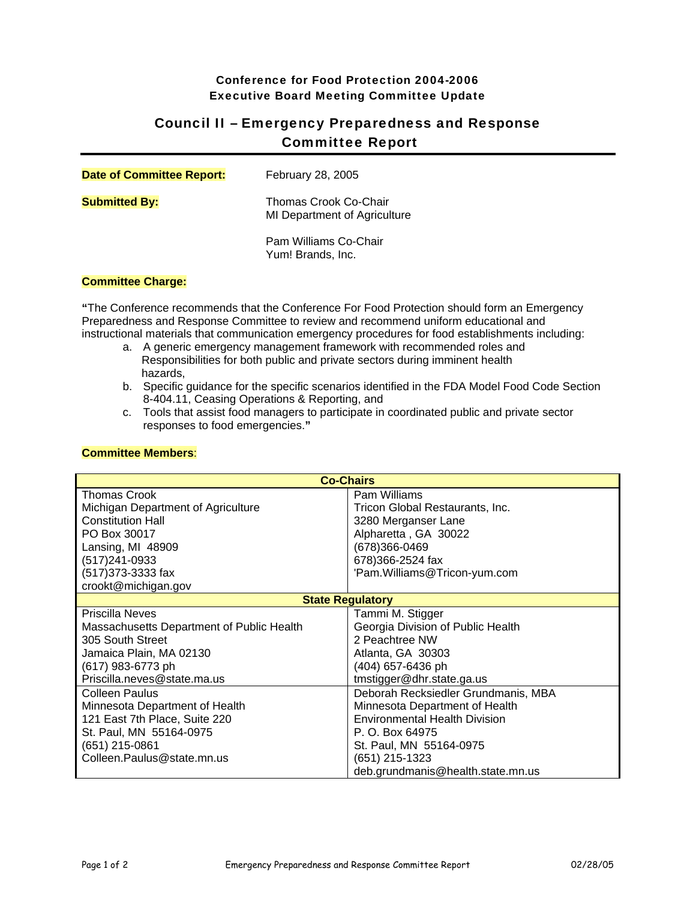## Conference for Food Protection 2004-2006 Executive Board Meeting Committee Update

# Council II – Emergency Preparedness and Response Committee Report

| <b>Date of Committee Report:</b> | February 28, 2005                                     |
|----------------------------------|-------------------------------------------------------|
| <b>Submitted By:</b>             | Thomas Crook Co-Chair<br>MI Department of Agriculture |
|                                  | Pam Williams Co-Chair<br>Yum! Brands, Inc.            |

#### **Committee Charge:**

**"**The Conference recommends that the Conference For Food Protection should form an Emergency Preparedness and Response Committee to review and recommend uniform educational and instructional materials that communication emergency procedures for food establishments including:

- a. A generic emergency management framework with recommended roles and Responsibilities for both public and private sectors during imminent health hazards,
- b. Specific guidance for the specific scenarios identified in the FDA Model Food Code Section 8-404.11, Ceasing Operations & Reporting, and
- c. Tools that assist food managers to participate in coordinated public and private sector responses to food emergencies.**"**

| <b>Co-Chairs</b>                          |                                      |  |
|-------------------------------------------|--------------------------------------|--|
| <b>Thomas Crook</b>                       | Pam Williams                         |  |
| Michigan Department of Agriculture        | Tricon Global Restaurants, Inc.      |  |
| <b>Constitution Hall</b>                  | 3280 Merganser Lane                  |  |
| PO Box 30017                              | Alpharetta, GA 30022                 |  |
| Lansing, MI 48909                         | (678)366-0469                        |  |
| (517)241-0933                             | 678)366-2524 fax                     |  |
| (517) 373-3333 fax                        | 'Pam.Williams@Tricon-yum.com         |  |
| crookt@michigan.gov                       |                                      |  |
| <b>State Regulatory</b>                   |                                      |  |
| <b>Priscilla Neves</b>                    | Tammi M. Stigger                     |  |
| Massachusetts Department of Public Health | Georgia Division of Public Health    |  |
| 305 South Street                          | 2 Peachtree NW                       |  |
| Jamaica Plain, MA 02130                   | Atlanta, GA 30303                    |  |
| (617) 983-6773 ph                         | (404) 657-6436 ph                    |  |
| Priscilla.neves@state.ma.us               | tmstigger@dhr.state.ga.us            |  |
| <b>Colleen Paulus</b>                     | Deborah Recksiedler Grundmanis, MBA  |  |
| Minnesota Department of Health            | Minnesota Department of Health       |  |
| 121 East 7th Place, Suite 220             | <b>Environmental Health Division</b> |  |
| St. Paul, MN 55164-0975                   | P. O. Box 64975                      |  |
| (651) 215-0861                            | St. Paul, MN 55164-0975              |  |
| Colleen.Paulus@state.mn.us                | (651) 215-1323                       |  |
|                                           | deb.grundmanis@health.state.mn.us    |  |

## **Committee Members**: